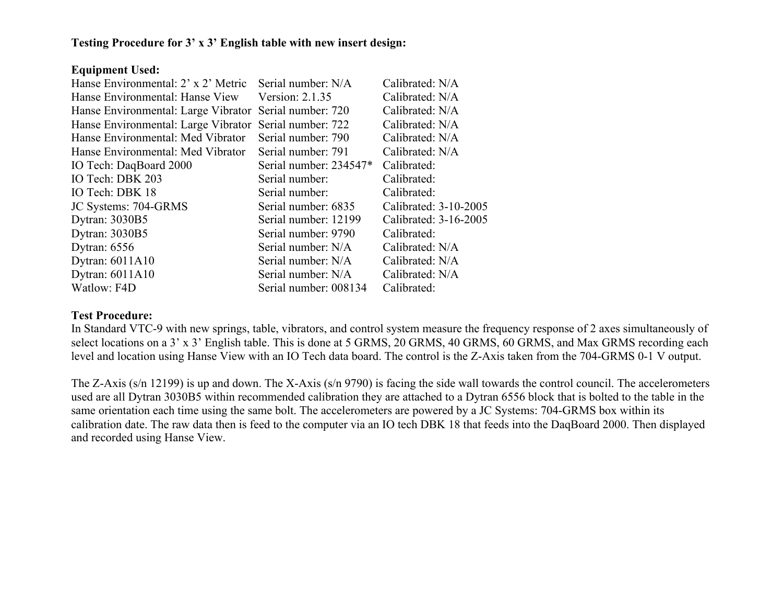### Testing Procedure for 3' x 3' English table with new insert design:

#### Equipment Used:

| Serial number: N/A     | Calibrated: N/A                                                            |
|------------------------|----------------------------------------------------------------------------|
| Version: 2.1.35        | Calibrated: N/A                                                            |
| Serial number: 720     | Calibrated: N/A                                                            |
| Serial number: 722     | Calibrated: N/A                                                            |
| Serial number: 790     | Calibrated: N/A                                                            |
| Serial number: 791     | Calibrated: N/A                                                            |
| Serial number: 234547* | Calibrated:                                                                |
| Serial number:         | Calibrated:                                                                |
| Serial number:         | Calibrated:                                                                |
| Serial number: 6835    | Calibrated: 3-10-2005                                                      |
| Serial number: 12199   | Calibrated: 3-16-2005                                                      |
| Serial number: 9790    | Calibrated:                                                                |
| Serial number: N/A     | Calibrated: N/A                                                            |
| Serial number: N/A     | Calibrated: N/A                                                            |
| Serial number: N/A     | Calibrated: N/A                                                            |
| Serial number: 008134  | Calibrated:                                                                |
|                        | Hanse Environmental: Large Vibrator<br>Hanse Environmental: Large Vibrator |

### Test Procedure:

In Standard VTC-9 with new springs, table, vibrators, and control system measure the frequency response of 2 axes simultaneously of select locations on a 3' x 3' English table. This is done at 5 GRMS, 20 GRMS, 40 GRMS, 60 GRMS, and Max GRMS recording each level and location using Hanse View with an IO Tech data board. The control is the Z-Axis taken from the 704-GRMS 0-1 V output.

The Z-Axis (s/n 12199) is up and down. The X-Axis (s/n 9790) is facing the side wall towards the control council. The accelerometers used are all Dytran 3030B5 within recommended calibration they are attached to a Dytran 6556 block that is bolted to the table in the same orientation each time using the same bolt. The accelerometers are powered by a JC Systems: 704-GRMS box within its calibration date. The raw data then is feed to the computer via an IO tech DBK 18 that feeds into the DaqBoard 2000. Then displayed and recorded using Hanse View.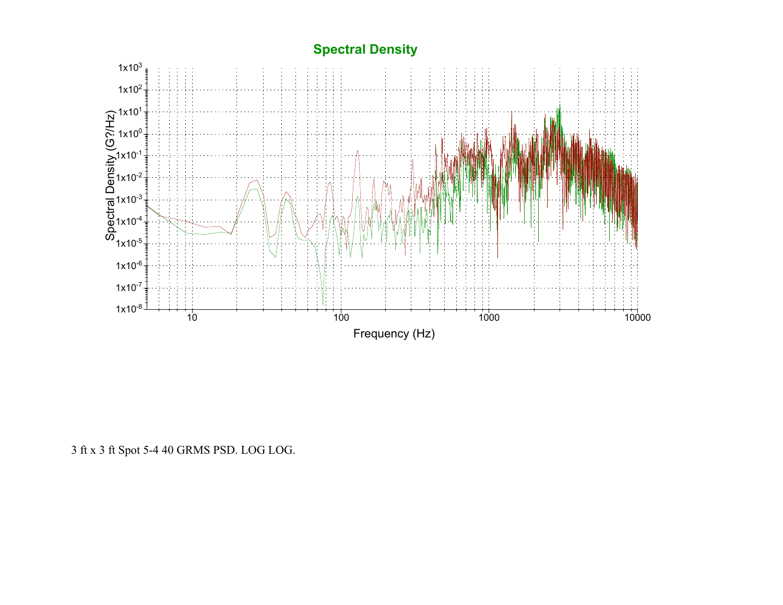# **Spectral Density**



3 ft x 3 ft Spot 5-4 40 GRMS PSD. LOG LOG.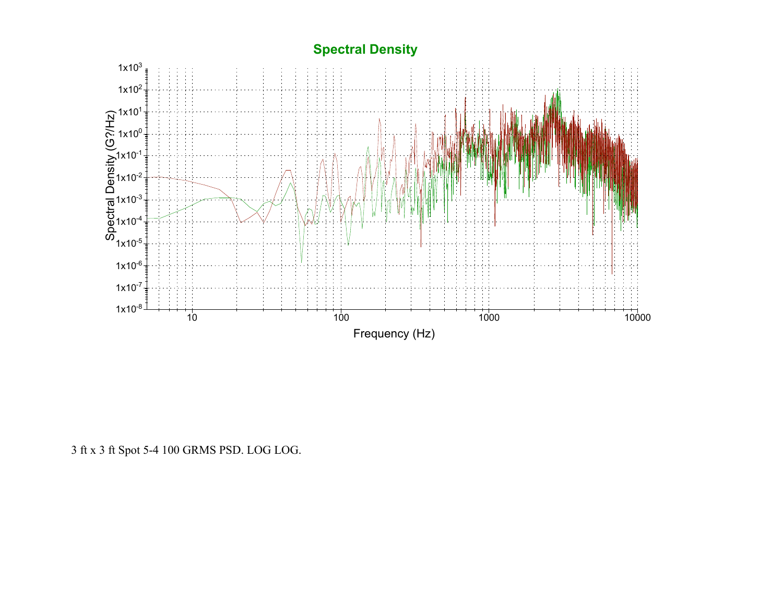# **Spectral Density**



3 ft x 3 ft Spot 5-4 100 GRMS PSD. LOG LOG.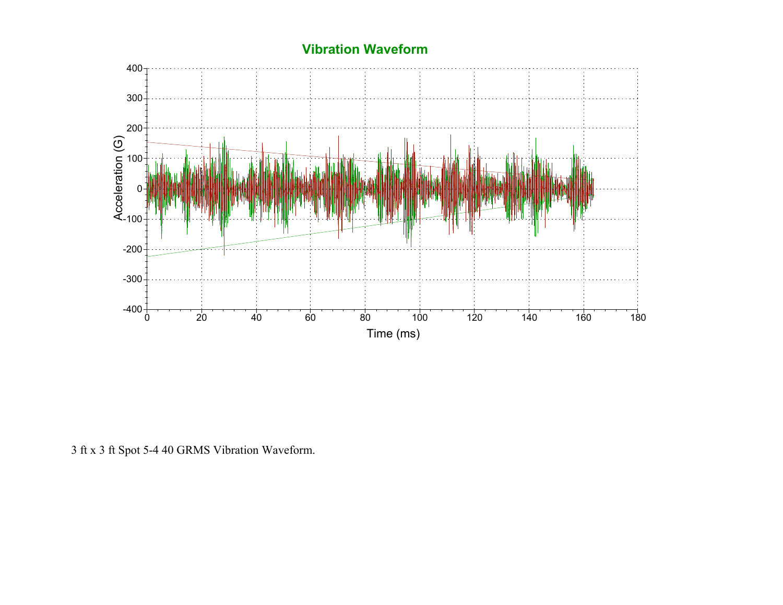

3 ft x 3 ft Spot 5-4 40 GRMS Vibration Waveform.